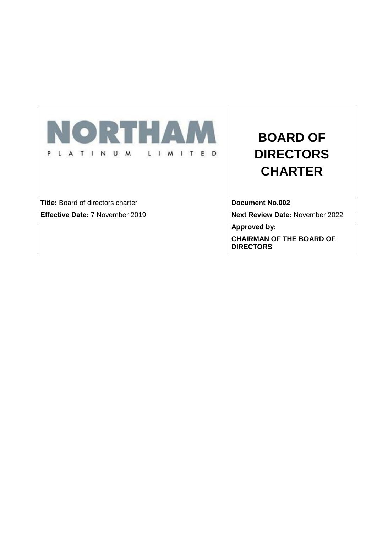| NORTH A                                  | <b>BOARD OF</b>                                     |  |  |
|------------------------------------------|-----------------------------------------------------|--|--|
| N U<br>M<br>E<br>M<br>T <sub>1</sub>     | <b>DIRECTORS</b>                                    |  |  |
|                                          | <b>CHARTER</b>                                      |  |  |
| <b>Title:</b> Board of directors charter | <b>Document No.002</b>                              |  |  |
| Effective Date: 7 November 2019          | <b>Next Review Date: November 2022</b>              |  |  |
|                                          | <b>Approved by:</b>                                 |  |  |
|                                          | <b>CHAIRMAN OF THE BOARD OF</b><br><b>DIRECTORS</b> |  |  |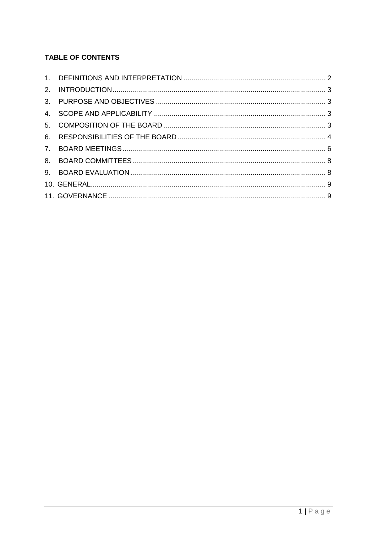# **TABLE OF CONTENTS**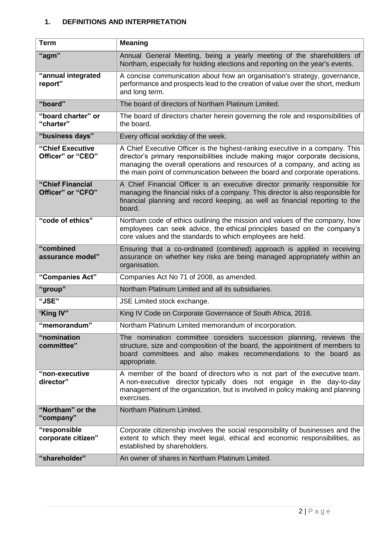## **1. DEFINITIONS AND INTERPRETATION**

| <b>Term</b>                           | <b>Meaning</b>                                                                                                                                                                                                                                                                                                             |
|---------------------------------------|----------------------------------------------------------------------------------------------------------------------------------------------------------------------------------------------------------------------------------------------------------------------------------------------------------------------------|
| "agm"                                 | Annual General Meeting, being a yearly meeting of the shareholders of<br>Northam, especially for holding elections and reporting on the year's events.                                                                                                                                                                     |
| "annual integrated<br>report"         | A concise communication about how an organisation's strategy, governance,<br>performance and prospects lead to the creation of value over the short, medium<br>and long term.                                                                                                                                              |
| "board"                               | The board of directors of Northam Platinum Limited.                                                                                                                                                                                                                                                                        |
| "board charter" or<br>"charter"       | The board of directors charter herein governing the role and responsibilities of<br>the board.                                                                                                                                                                                                                             |
| "business days"                       | Every official workday of the week.                                                                                                                                                                                                                                                                                        |
| "Chief Executive<br>Officer" or "CEO" | A Chief Executive Officer is the highest-ranking executive in a company. This<br>director's primary responsibilities include making major corporate decisions,<br>managing the overall operations and resources of a company, and acting as<br>the main point of communication between the board and corporate operations. |
| "Chief Financial<br>Officer" or "CFO" | A Chief Financial Officer is an executive director primarily responsible for<br>managing the financial risks of a company. This director is also responsible for<br>financial planning and record keeping, as well as financial reporting to the<br>board.                                                                 |
| "code of ethics"                      | Northam code of ethics outlining the mission and values of the company, how<br>employees can seek advice, the ethical principles based on the company's<br>core values and the standards to which employees are held.                                                                                                      |
| "combined<br>assurance model"         | Ensuring that a co-ordinated (combined) approach is applied in receiving<br>assurance on whether key risks are being managed appropriately within an<br>organisation.                                                                                                                                                      |
| "Companies Act"                       | Companies Act No 71 of 2008, as amended.                                                                                                                                                                                                                                                                                   |
| "group"                               | Northam Platinum Limited and all its subsidiaries.                                                                                                                                                                                                                                                                         |
| "JSE"                                 | JSE Limited stock exchange.                                                                                                                                                                                                                                                                                                |
| 'King IV"                             | King IV Code on Corporate Governance of South Africa, 2016.                                                                                                                                                                                                                                                                |
| "memorandum"                          | Northam Platinum Limited memorandum of incorporation.                                                                                                                                                                                                                                                                      |
| "nomination<br>committee"             | The nomination committee considers succession planning, reviews the<br>structure, size and composition of the board, the appointment of members to<br>board committees and also makes recommendations to the board as<br>appropriate.                                                                                      |
| "non-executive<br>director"           | A member of the board of directors who is not part of the executive team.<br>A non-executive director typically does not engage in the day-to-day<br>management of the organization, but is involved in policy making and planning<br>exercises.                                                                           |
| "Northam" or the<br>"company"         | Northam Platinum Limited.                                                                                                                                                                                                                                                                                                  |
| "responsible<br>corporate citizen"    | Corporate citizenship involves the social responsibility of businesses and the<br>extent to which they meet legal, ethical and economic responsibilities, as<br>established by shareholders.                                                                                                                               |
| "shareholder"                         | An owner of shares in Northam Platinum Limited.                                                                                                                                                                                                                                                                            |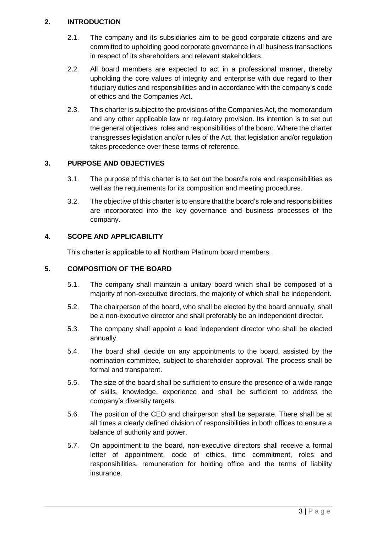## **2. INTRODUCTION**

- 2.1. The company and its subsidiaries aim to be good corporate citizens and are committed to upholding good corporate governance in all business transactions in respect of its shareholders and relevant stakeholders.
- 2.2. All board members are expected to act in a professional manner, thereby upholding the core values of integrity and enterprise with due regard to their fiduciary duties and responsibilities and in accordance with the company's code of ethics and the Companies Act.
- 2.3. This charter is subject to the provisions of the Companies Act, the memorandum and any other applicable law or regulatory provision. Its intention is to set out the general objectives, roles and responsibilities of the board. Where the charter transgresses legislation and/or rules of the Act, that legislation and/or regulation takes precedence over these terms of reference.

## **3. PURPOSE AND OBJECTIVES**

- 3.1. The purpose of this charter is to set out the board's role and responsibilities as well as the requirements for its composition and meeting procedures.
- 3.2. The objective of this charter is to ensure that the board's role and responsibilities are incorporated into the key governance and business processes of the company.

### **4. SCOPE AND APPLICABILITY**

This charter is applicable to all Northam Platinum board members.

#### **5. COMPOSITION OF THE BOARD**

- 5.1. The company shall maintain a unitary board which shall be composed of a majority of non-executive directors, the majority of which shall be independent.
- 5.2. The chairperson of the board, who shall be elected by the board annually, shall be a non-executive director and shall preferably be an independent director.
- 5.3. The company shall appoint a lead independent director who shall be elected annually.
- 5.4. The board shall decide on any appointments to the board, assisted by the nomination committee, subject to shareholder approval. The process shall be formal and transparent.
- 5.5. The size of the board shall be sufficient to ensure the presence of a wide range of skills, knowledge, experience and shall be sufficient to address the company's diversity targets.
- 5.6. The position of the CEO and chairperson shall be separate. There shall be at all times a clearly defined division of responsibilities in both offices to ensure a balance of authority and power.
- 5.7. On appointment to the board, non-executive directors shall receive a formal letter of appointment, code of ethics, time commitment, roles and responsibilities, remuneration for holding office and the terms of liability insurance.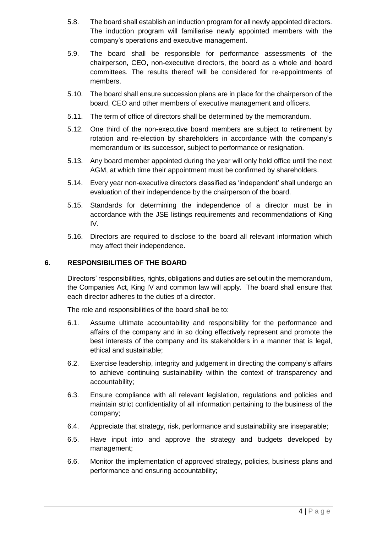- 5.8. The board shall establish an induction program for all newly appointed directors. The induction program will familiarise newly appointed members with the company's operations and executive management.
- 5.9. The board shall be responsible for performance assessments of the chairperson, CEO, non-executive directors, the board as a whole and board committees. The results thereof will be considered for re-appointments of members.
- 5.10. The board shall ensure succession plans are in place for the chairperson of the board, CEO and other members of executive management and officers.
- 5.11. The term of office of directors shall be determined by the memorandum.
- 5.12. One third of the non-executive board members are subject to retirement by rotation and re-election by shareholders in accordance with the company's memorandum or its successor, subject to performance or resignation.
- 5.13. Any board member appointed during the year will only hold office until the next AGM, at which time their appointment must be confirmed by shareholders.
- 5.14. Every year non-executive directors classified as 'independent' shall undergo an evaluation of their independence by the chairperson of the board.
- 5.15. Standards for determining the independence of a director must be in accordance with the JSE listings requirements and recommendations of King IV.
- 5.16. Directors are required to disclose to the board all relevant information which may affect their independence.

#### **6. RESPONSIBILITIES OF THE BOARD**

Directors' responsibilities, rights, obligations and duties are set out in the memorandum, the Companies Act, King IV and common law will apply. The board shall ensure that each director adheres to the duties of a director.

The role and responsibilities of the board shall be to:

- 6.1. Assume ultimate accountability and responsibility for the performance and affairs of the company and in so doing effectively represent and promote the best interests of the company and its stakeholders in a manner that is legal, ethical and sustainable;
- 6.2. Exercise leadership, integrity and judgement in directing the company's affairs to achieve continuing sustainability within the context of transparency and accountability;
- 6.3. Ensure compliance with all relevant legislation, regulations and policies and maintain strict confidentiality of all information pertaining to the business of the company;
- 6.4. Appreciate that strategy, risk, performance and sustainability are inseparable;
- 6.5. Have input into and approve the strategy and budgets developed by management;
- 6.6. Monitor the implementation of approved strategy, policies, business plans and performance and ensuring accountability;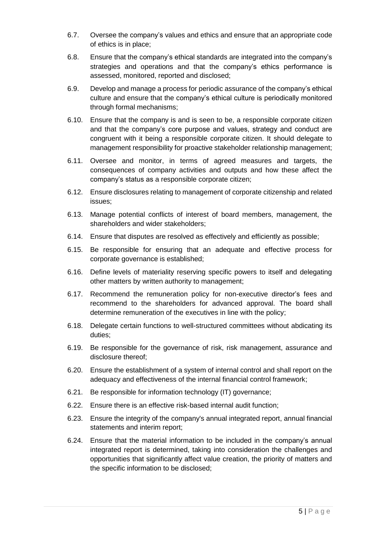- 6.7. Oversee the company's values and ethics and ensure that an appropriate code of ethics is in place;
- 6.8. Ensure that the company's ethical standards are integrated into the company's strategies and operations and that the company's ethics performance is assessed, monitored, reported and disclosed;
- 6.9. Develop and manage a process for periodic assurance of the company's ethical culture and ensure that the company's ethical culture is periodically monitored through formal mechanisms;
- 6.10. Ensure that the company is and is seen to be, a responsible corporate citizen and that the company's core purpose and values, strategy and conduct are congruent with it being a responsible corporate citizen. It should delegate to management responsibility for proactive stakeholder relationship management;
- 6.11. Oversee and monitor, in terms of agreed measures and targets, the consequences of company activities and outputs and how these affect the company's status as a responsible corporate citizen;
- 6.12. Ensure disclosures relating to management of corporate citizenship and related issues;
- 6.13. Manage potential conflicts of interest of board members, management, the shareholders and wider stakeholders;
- 6.14. Ensure that disputes are resolved as effectively and efficiently as possible;
- 6.15. Be responsible for ensuring that an adequate and effective process for corporate governance is established;
- 6.16. Define levels of materiality reserving specific powers to itself and delegating other matters by written authority to management;
- 6.17. Recommend the remuneration policy for non-executive director's fees and recommend to the shareholders for advanced approval. The board shall determine remuneration of the executives in line with the policy;
- 6.18. Delegate certain functions to well-structured committees without abdicating its duties;
- 6.19. Be responsible for the governance of risk, risk management, assurance and disclosure thereof;
- 6.20. Ensure the establishment of a system of internal control and shall report on the adequacy and effectiveness of the internal financial control framework;
- 6.21. Be responsible for information technology (IT) governance;
- 6.22. Ensure there is an effective risk-based internal audit function;
- 6.23. Ensure the integrity of the company's annual integrated report, annual financial statements and interim report;
- 6.24. Ensure that the material information to be included in the company's annual integrated report is determined, taking into consideration the challenges and opportunities that significantly affect value creation, the priority of matters and the specific information to be disclosed;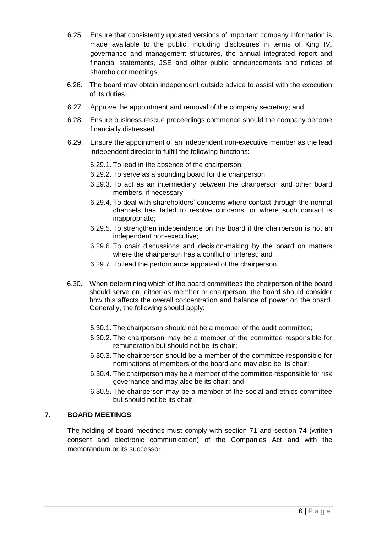- 6.25. Ensure that consistently updated versions of important company information is made available to the public, including disclosures in terms of King IV, governance and management structures, the annual integrated report and financial statements, JSE and other public announcements and notices of shareholder meetings;
- 6.26. The board may obtain independent outside advice to assist with the execution of its duties.
- 6.27. Approve the appointment and removal of the company secretary; and
- 6.28. Ensure business rescue proceedings commence should the company become financially distressed.
- 6.29. Ensure the appointment of an independent non-executive member as the lead independent director to fulfill the following functions:
	- 6.29.1. To lead in the absence of the chairperson;
	- 6.29.2. To serve as a sounding board for the chairperson;
	- 6.29.3. To act as an intermediary between the chairperson and other board members, if necessary;
	- 6.29.4. To deal with shareholders' concerns where contact through the normal channels has failed to resolve concerns, or where such contact is inappropriate;
	- 6.29.5. To strengthen independence on the board if the chairperson is not an independent non-executive;
	- 6.29.6. To chair discussions and decision-making by the board on matters where the chairperson has a conflict of interest; and
	- 6.29.7. To lead the performance appraisal of the chairperson.
- 6.30. When determining which of the board committees the chairperson of the board should serve on, either as member or chairperson, the board should consider how this affects the overall concentration and balance of power on the board. Generally, the following should apply:
	- 6.30.1. The chairperson should not be a member of the audit committee;
	- 6.30.2. The chairperson may be a member of the committee responsible for remuneration but should not be its chair;
	- 6.30.3. The chairperson should be a member of the committee responsible for nominations of members of the board and may also be its chair;
	- 6.30.4. The chairperson may be a member of the committee responsible for risk governance and may also be its chair; and
	- 6.30.5. The chairperson may be a member of the social and ethics committee but should not be its chair.

### **7. BOARD MEETINGS**

The holding of board meetings must comply with section 71 and section 74 (written consent and electronic communication) of the Companies Act and with the memorandum or its successor.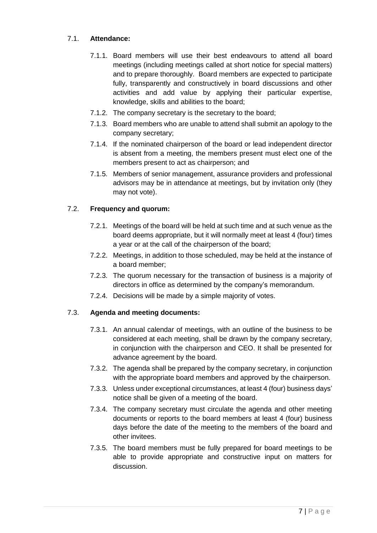## 7.1. **Attendance:**

- 7.1.1. Board members will use their best endeavours to attend all board meetings (including meetings called at short notice for special matters) and to prepare thoroughly. Board members are expected to participate fully, transparently and constructively in board discussions and other activities and add value by applying their particular expertise, knowledge, skills and abilities to the board;
- 7.1.2. The company secretary is the secretary to the board;
- 7.1.3. Board members who are unable to attend shall submit an apology to the company secretary;
- 7.1.4. If the nominated chairperson of the board or lead independent director is absent from a meeting, the members present must elect one of the members present to act as chairperson; and
- 7.1.5. Members of senior management, assurance providers and professional advisors may be in attendance at meetings, but by invitation only (they may not vote).

### 7.2. **Frequency and quorum:**

- 7.2.1. Meetings of the board will be held at such time and at such venue as the board deems appropriate, but it will normally meet at least 4 (four) times a year or at the call of the chairperson of the board;
- 7.2.2. Meetings, in addition to those scheduled, may be held at the instance of a board member;
- 7.2.3. The quorum necessary for the transaction of business is a majority of directors in office as determined by the company's memorandum.
- 7.2.4. Decisions will be made by a simple majority of votes.

### 7.3. **Agenda and meeting documents:**

- 7.3.1. An annual calendar of meetings, with an outline of the business to be considered at each meeting, shall be drawn by the company secretary, in conjunction with the chairperson and CEO. It shall be presented for advance agreement by the board.
- 7.3.2. The agenda shall be prepared by the company secretary, in conjunction with the appropriate board members and approved by the chairperson.
- 7.3.3. Unless under exceptional circumstances, at least 4 (four) business days' notice shall be given of a meeting of the board.
- 7.3.4. The company secretary must circulate the agenda and other meeting documents or reports to the board members at least 4 (four) business days before the date of the meeting to the members of the board and other invitees.
- 7.3.5. The board members must be fully prepared for board meetings to be able to provide appropriate and constructive input on matters for discussion.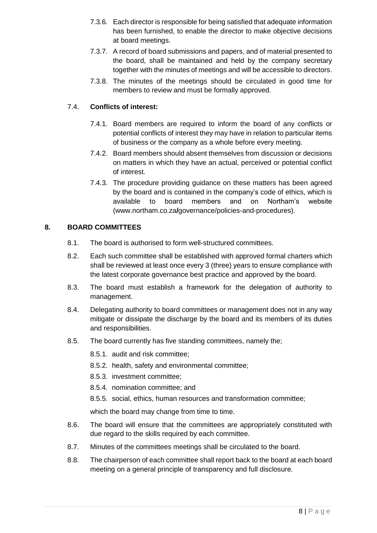- 7.3.6. Each director is responsible for being satisfied that adequate information has been furnished, to enable the director to make objective decisions at board meetings.
- 7.3.7. A record of board submissions and papers, and of material presented to the board, shall be maintained and held by the company secretary together with the minutes of meetings and will be accessible to directors.
- 7.3.8. The minutes of the meetings should be circulated in good time for members to review and must be formally approved.

### 7.4. **Conflicts of interest:**

- 7.4.1. Board members are required to inform the board of any conflicts or potential conflicts of interest they may have in relation to particular items of business or the company as a whole before every meeting.
- 7.4.2. Board members should absent themselves from discussion or decisions on matters in which they have an actual, perceived or potential conflict of interest.
- 7.4.3. The procedure providing guidance on these matters has been agreed by the board and is contained in the company's code of ethics, which is available to board members and on Northam's website [\(www.northam.co.za](http://www.northam.co.za/)**/**governance/policies-and-procedures).

### **8. BOARD COMMITTEES**

- 8.1. The board is authorised to form well-structured committees.
- 8.2. Each such committee shall be established with approved formal charters which shall be reviewed at least once every 3 (three) years to ensure compliance with the latest corporate governance best practice and approved by the board.
- 8.3. The board must establish a framework for the delegation of authority to management.
- 8.4. Delegating authority to board committees or management does not in any way mitigate or dissipate the discharge by the board and its members of its duties and responsibilities.
- 8.5. The board currently has five standing committees, namely the;
	- 8.5.1. audit and risk committee;
	- 8.5.2. health, safety and environmental committee;
	- 8.5.3. investment committee;
	- 8.5.4. nomination committee; and
	- 8.5.5. social, ethics, human resources and transformation committee;

which the board may change from time to time.

- 8.6. The board will ensure that the committees are appropriately constituted with due regard to the skills required by each committee.
- 8.7. Minutes of the committees meetings shall be circulated to the board.
- 8.8. The chairperson of each committee shall report back to the board at each board meeting on a general principle of transparency and full disclosure.